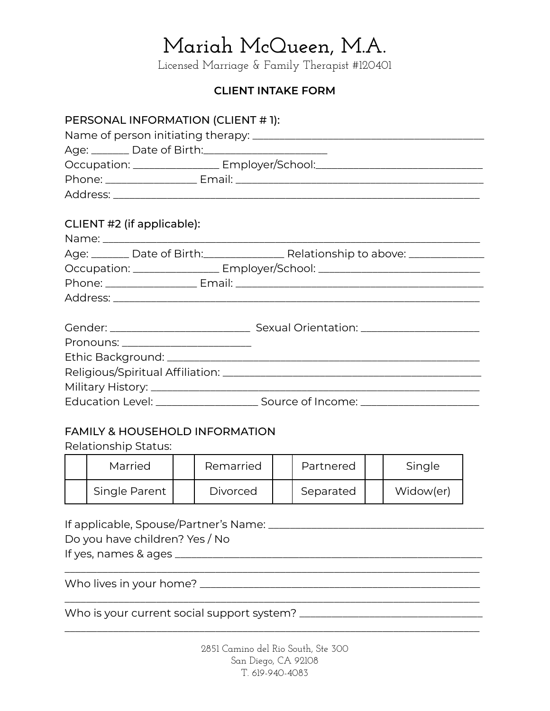Licensed Marriage & Family Therapist #120401

### **CLIENT INTAKE FORM**

| PERSONAL INFORMATION (CLIENT #1):                       |                                                                                                      |
|---------------------------------------------------------|------------------------------------------------------------------------------------------------------|
|                                                         |                                                                                                      |
| Age: ________ Date of Birth:___________________________ |                                                                                                      |
|                                                         | Occupation: _________________ Employer/School:__________________________________                     |
|                                                         |                                                                                                      |
|                                                         |                                                                                                      |
|                                                         |                                                                                                      |
| CLIENT #2 (if applicable):                              |                                                                                                      |
|                                                         |                                                                                                      |
|                                                         | Age: _______ Date of Birth:__________________ Relationship to above: ___________                     |
|                                                         | Occupation: ___________________ Employer/School: _______________________________                     |
|                                                         |                                                                                                      |
|                                                         |                                                                                                      |
|                                                         |                                                                                                      |
|                                                         |                                                                                                      |
| Pronouns: _________________________                     |                                                                                                      |
|                                                         |                                                                                                      |
|                                                         |                                                                                                      |
|                                                         |                                                                                                      |
|                                                         | Education Level: __________________________________Source of Income: _______________________________ |

#### FAMILY & HOUSEHOLD INFORMATION

Relationship Status:

| Married       | Remarried       | Partnered | Single    |
|---------------|-----------------|-----------|-----------|
| Single Parent | <b>Divorced</b> | Separated | Widow(er) |

If applicable, Spouse/Partner's Name: \_\_\_\_\_\_\_\_\_\_\_\_\_\_\_\_\_\_\_\_\_\_\_\_\_\_\_\_\_\_\_\_\_\_\_\_\_\_\_\_

Do you have children? Yes / No

If yes, names & ages \_\_\_\_\_\_\_\_\_\_\_\_\_\_\_\_\_\_\_\_\_\_\_\_\_\_\_\_\_\_\_\_\_\_\_\_\_\_\_\_\_\_\_\_\_\_\_\_\_\_\_\_\_\_\_\_\_

Who lives in your home? \_\_\_\_\_\_\_\_\_\_\_\_\_\_\_\_\_\_\_\_\_\_\_\_\_\_\_\_\_\_\_\_\_\_\_\_\_\_\_\_\_\_\_\_\_\_\_\_\_\_\_\_

Who is your current social support system? \_\_\_\_\_\_\_\_\_\_\_\_\_\_\_\_\_\_\_\_\_\_\_\_\_\_\_\_\_\_\_\_\_\_

\_\_\_\_\_\_\_\_\_\_\_\_\_\_\_\_\_\_\_\_\_\_\_\_\_\_\_\_\_\_\_\_\_\_\_\_\_\_\_\_\_\_\_\_\_\_\_\_\_\_\_\_\_\_\_\_\_\_\_\_\_\_\_\_\_\_\_\_\_\_\_\_\_\_\_\_\_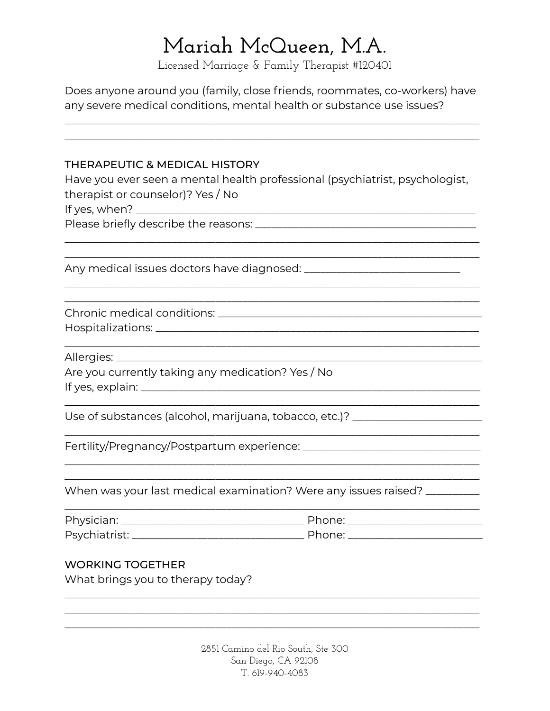Licensed Marriage & Family Therapist #120401

Does anyone around you (family, close friends, roommates, co-workers) have any severe medical conditions, mental health or substance use issues?

| <b>THERAPEUTIC &amp; MEDICAL HISTORY</b>          |                                                                                  |
|---------------------------------------------------|----------------------------------------------------------------------------------|
|                                                   | Have you ever seen a mental health professional (psychiatrist, psychologist,     |
| therapist or counselor)? Yes / No                 |                                                                                  |
|                                                   |                                                                                  |
|                                                   |                                                                                  |
|                                                   |                                                                                  |
|                                                   |                                                                                  |
|                                                   |                                                                                  |
| Allergies: _______                                |                                                                                  |
| Are you currently taking any medication? Yes / No |                                                                                  |
|                                                   | Use of substances (alcohol, marijuana, tobacco, etc.)? _________________________ |
|                                                   |                                                                                  |
|                                                   | When was your last medical examination? Were any issues raised? _________        |
|                                                   |                                                                                  |
| Psychiatrist:                                     |                                                                                  |
| <b>WORKING TOGETHER</b>                           |                                                                                  |
| What brings you to therapy today?                 |                                                                                  |
|                                                   |                                                                                  |
|                                                   |                                                                                  |

2851 Camino del Rio South, Ste 300 San Diego, CA 92108 T. 619-940-4083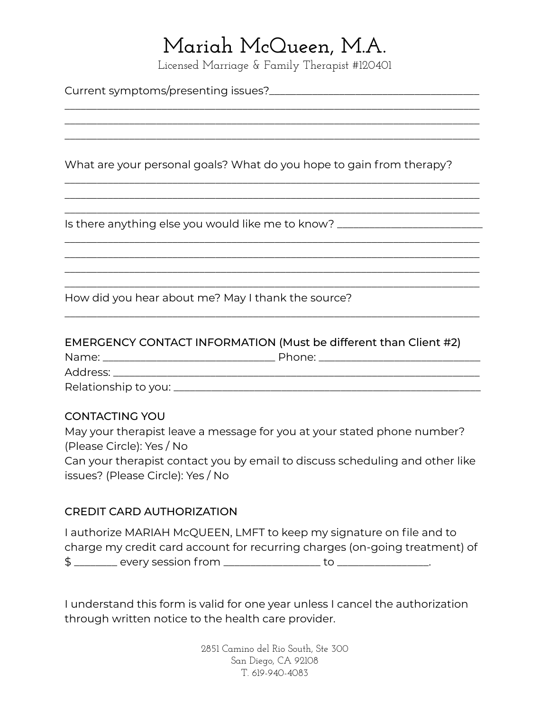Licensed Marriage & Family Therapist #120401

\_\_\_\_\_\_\_\_\_\_\_\_\_\_\_\_\_\_\_\_\_\_\_\_\_\_\_\_\_\_\_\_\_\_\_\_\_\_\_\_\_\_\_\_\_\_\_\_\_\_\_\_\_\_\_\_\_\_\_\_\_\_\_\_\_\_\_\_\_\_\_\_\_\_\_\_\_ \_\_\_\_\_\_\_\_\_\_\_\_\_\_\_\_\_\_\_\_\_\_\_\_\_\_\_\_\_\_\_\_\_\_\_\_\_\_\_\_\_\_\_\_\_\_\_\_\_\_\_\_\_\_\_\_\_\_\_\_\_\_\_\_\_\_\_\_\_\_\_\_\_\_\_\_\_ \_\_\_\_\_\_\_\_\_\_\_\_\_\_\_\_\_\_\_\_\_\_\_\_\_\_\_\_\_\_\_\_\_\_\_\_\_\_\_\_\_\_\_\_\_\_\_\_\_\_\_\_\_\_\_\_\_\_\_\_\_\_\_\_\_\_\_\_\_\_\_\_\_\_\_\_\_

\_\_\_\_\_\_\_\_\_\_\_\_\_\_\_\_\_\_\_\_\_\_\_\_\_\_\_\_\_\_\_\_\_\_\_\_\_\_\_\_\_\_\_\_\_\_\_\_\_\_\_\_\_\_\_\_\_\_\_\_\_\_\_\_\_\_\_\_\_\_\_\_\_\_\_\_\_ \_\_\_\_\_\_\_\_\_\_\_\_\_\_\_\_\_\_\_\_\_\_\_\_\_\_\_\_\_\_\_\_\_\_\_\_\_\_\_\_\_\_\_\_\_\_\_\_\_\_\_\_\_\_\_\_\_\_\_\_\_\_\_\_\_\_\_\_\_\_\_\_\_\_\_\_\_ \_\_\_\_\_\_\_\_\_\_\_\_\_\_\_\_\_\_\_\_\_\_\_\_\_\_\_\_\_\_\_\_\_\_\_\_\_\_\_\_\_\_\_\_\_\_\_\_\_\_\_\_\_\_\_\_\_\_\_\_\_\_\_\_\_\_\_\_\_\_\_\_\_\_\_\_\_

\_\_\_\_\_\_\_\_\_\_\_\_\_\_\_\_\_\_\_\_\_\_\_\_\_\_\_\_\_\_\_\_\_\_\_\_\_\_\_\_\_\_\_\_\_\_\_\_\_\_\_\_\_\_\_\_\_\_\_\_\_\_\_\_\_\_\_\_\_\_\_\_\_\_\_\_\_ \_\_\_\_\_\_\_\_\_\_\_\_\_\_\_\_\_\_\_\_\_\_\_\_\_\_\_\_\_\_\_\_\_\_\_\_\_\_\_\_\_\_\_\_\_\_\_\_\_\_\_\_\_\_\_\_\_\_\_\_\_\_\_\_\_\_\_\_\_\_\_\_\_\_\_\_\_ \_\_\_\_\_\_\_\_\_\_\_\_\_\_\_\_\_\_\_\_\_\_\_\_\_\_\_\_\_\_\_\_\_\_\_\_\_\_\_\_\_\_\_\_\_\_\_\_\_\_\_\_\_\_\_\_\_\_\_\_\_\_\_\_\_\_\_\_\_\_\_\_\_\_\_\_\_ \_\_\_\_\_\_\_\_\_\_\_\_\_\_\_\_\_\_\_\_\_\_\_\_\_\_\_\_\_\_\_\_\_\_\_\_\_\_\_\_\_\_\_\_\_\_\_\_\_\_\_\_\_\_\_\_\_\_\_\_\_\_\_\_\_\_\_\_\_\_\_\_\_\_\_\_\_

Current symptoms/presenting issues?\_\_\_\_\_\_\_\_\_\_\_\_\_\_\_\_\_\_\_\_\_\_\_\_\_\_\_\_\_\_\_\_\_\_\_\_\_\_\_

What are your personal goals? What do you hope to gain from therapy?

Is there anything else you would like me to know? \_\_\_\_\_\_\_\_\_\_\_\_\_\_\_\_\_\_\_\_\_\_\_\_\_\_\_\_\_\_

How did you hear about me? May I thank the source?

#### EMERGENCY CONTACT INFORMATION (Must be different than Client #2)

| Name:                | Phone: |
|----------------------|--------|
| Address:             |        |
| Relationship to you: |        |

\_\_\_\_\_\_\_\_\_\_\_\_\_\_\_\_\_\_\_\_\_\_\_\_\_\_\_\_\_\_\_\_\_\_\_\_\_\_\_\_\_\_\_\_\_\_\_\_\_\_\_\_\_\_\_\_\_\_\_\_\_\_\_\_\_\_\_\_\_\_\_\_\_\_\_\_\_

#### CONTACTING YOU

May your therapist leave a message for you at your stated phone number? (Please Circle): Yes / No Can your therapist contact you by email to discuss scheduling and other like issues? (Please Circle): Yes / No

#### CREDIT CARD AUTHORIZATION

I authorize MARIAH McQUEEN, LMFT to keep my signature on file and to charge my credit card account for recurring charges (on-going treatment) of \$ \_\_\_\_\_\_\_\_ every session from \_\_\_\_\_\_\_\_\_\_\_\_\_\_\_\_\_\_ to \_\_\_\_\_\_\_\_\_\_\_\_\_\_\_\_\_.

I understand this form is valid for one year unless I cancel the authorization through written notice to the health care provider.

> 2851 Camino del Rio South, Ste 300 San Diego, CA 92108 T. 619-940-4083